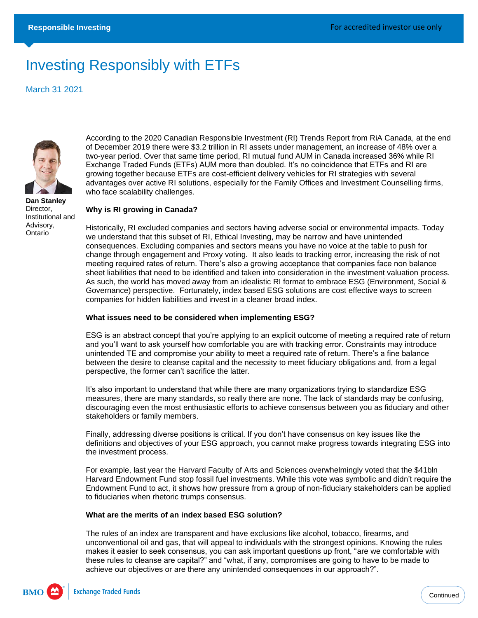# Investing Responsibly with ETFs

March 31 2021



**Dan Stanley** Director, Institutional and Advisory, Ontario

According to the 2020 Canadian Responsible Investment (RI) Trends Report from RiA Canada, at the end of December 2019 there were \$3.2 trillion in RI assets under management, an increase of 48% over a two-year period. Over that same time period, RI mutual fund AUM in Canada increased 36% while RI Exchange Traded Funds (ETFs) AUM more than doubled. It's no coincidence that ETFs and RI are growing together because ETFs are cost-efficient delivery vehicles for RI strategies with several advantages over active RI solutions, especially for the Family Offices and Investment Counselling firms, who face scalability challenges.

## **Why is RI growing in Canada?**

Historically, RI excluded companies and sectors having adverse social or environmental impacts. Today we understand that this subset of RI, Ethical Investing, may be narrow and have unintended consequences. Excluding companies and sectors means you have no voice at the table to push for change through engagement and Proxy voting. It also leads to tracking error, increasing the risk of not meeting required rates of return. There's also a growing acceptance that companies face non balance sheet liabilities that need to be identified and taken into consideration in the investment valuation process. As such, the world has moved away from an idealistic RI format to embrace ESG (Environment, Social & Governance) perspective. Fortunately, index based ESG solutions are cost effective ways to screen companies for hidden liabilities and invest in a cleaner broad index.

#### **What issues need to be considered when implementing ESG?**

ESG is an abstract concept that you're applying to an explicit outcome of meeting a required rate of return and you'll want to ask yourself how comfortable you are with tracking error. Constraints may introduce unintended TE and compromise your ability to meet a required rate of return. There's a fine balance between the desire to cleanse capital and the necessity to meet fiduciary obligations and, from a legal perspective, the former can't sacrifice the latter.

It's also important to understand that while there are many organizations trying to standardize ESG measures, there are many standards, so really there are none. The lack of standards may be confusing, discouraging even the most enthusiastic efforts to achieve consensus between you as fiduciary and other stakeholders or family members.

Finally, addressing diverse positions is critical. If you don't have consensus on key issues like the definitions and objectives of your ESG approach, you cannot make progress towards integrating ESG into the investment process.

For example, last year the Harvard Faculty of Arts and Sciences overwhelmingly voted that the \$41bln Harvard Endowment Fund stop fossil fuel investments. While this vote was symbolic and didn't require the Endowment Fund to act, it shows how pressure from a group of non-fiduciary stakeholders can be applied to fiduciaries when rhetoric trumps consensus.

## **What are the merits of an index based ESG solution?**

The rules of an index are transparent and have exclusions like alcohol, tobacco, firearms, and unconventional oil and gas, that will appeal to individuals with the strongest opinions. Knowing the rules makes it easier to seek consensus, you can ask important questions up front, "are we comfortable with these rules to cleanse are capital?" and "what, if any, compromises are going to have to be made to achieve our objectives or are there any unintended consequences in our approach?".

**BMO**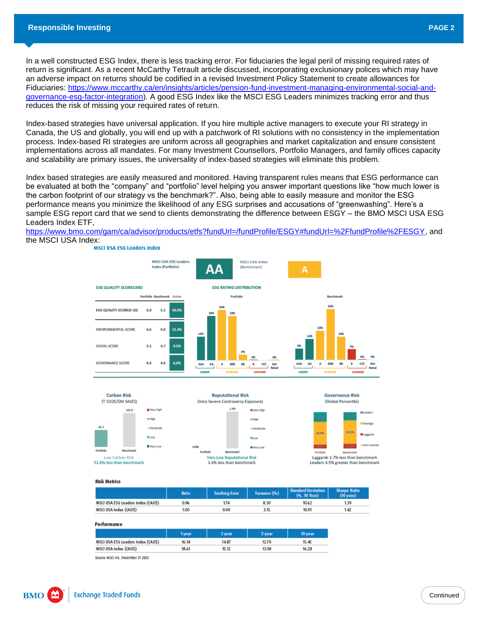In a well constructed ESG Index, there is less tracking error. For fiduciaries the legal peril of missing required rates of return is significant. As a recent McCarthy Tetrault article discussed, incorporating exclusionary polices which may have an adverse impact on returns should be codified in a revised Investment Policy Statement to create allowances for Fiduciaries: [https://www.mccarthy.ca/en/insights/articles/pension-fund-investment-managing-environmental-social-and](https://www.mccarthy.ca/en/insights/articles/pension-fund-investment-managing-environmental-social-and-governance-esg-factor-integration)[governance-esg-factor-integration\)](https://www.mccarthy.ca/en/insights/articles/pension-fund-investment-managing-environmental-social-and-governance-esg-factor-integration). A good ESG Index like the MSCI ESG Leaders minimizes tracking error and thus reduces the risk of missing your required rates of return.

Index-based strategies have universal application. If you hire multiple active managers to execute your RI strategy in Canada, the US and globally, you will end up with a patchwork of RI solutions with no consistency in the implementation process. Index-based RI strategies are uniform across all geographies and market capitalization and ensure consistent implementations across all mandates. For many Investment Counsellors, Portfolio Managers, and family offices capacity and scalability are primary issues, the universality of index-based strategies will eliminate this problem.

Index based strategies are easily measured and monitored. Having transparent rules means that ESG performance can be evaluated at both the "company" and "portfolio" level helping you answer important questions like "how much lower is the carbon footprint of our strategy vs the benchmark?". Also, being able to easily measure and monitor the ESG performance means you minimize the likelihood of any ESG surprises and accusations of "greenwashing". Here's a sample ESG report card that we send to clients demonstrating the difference between ESGY – the BMO MSCI USA ESG Leaders Index ETF,

[https://www.bmo.com/gam/ca/advisor/products/etfs?fundUrl=/fundProfile/ESGY#fundUrl=%2FfundProfile%2FESGY,](https://www.bmo.com/gam/ca/advisor/products/etfs?fundUrl=/fundProfile/ESGY#fundUrl=%2FfundProfile%2FESGY) and the MSCI USA Index:<br>MSCI USA ESG Leaders Index





**Risk Metrics** 

|                                   | Beta | <b>Tracking Error</b> | Turnover (%) | <b>Standard Deviation</b><br>(%. 10 Year) | <b>Sharpe Ratio</b><br>$(10 \text{ year})$ |
|-----------------------------------|------|-----------------------|--------------|-------------------------------------------|--------------------------------------------|
| MSCI USA ESG Leaders Index (CADS) | 0.96 | 1.74                  | 8.30         | 10.62                                     | 1.39                                       |
| MSCI USA Index (CADS)             | 1.00 | 0.00                  |              | 10.91                                     | 1.42                                       |

Performance

|                                    | 1 vear | 3 year | 5 vear | 10 year |
|------------------------------------|--------|--------|--------|---------|
| MSCI USA ESG Leaders Index (CAD\$) | 16.14  | 14.87  | 12.70  | 15.45   |
| MSCI USA Index (CADS)              | 18.61  | 15.12  | 13.08  | 16.28   |

Source: MSCI Inc. December 31 2020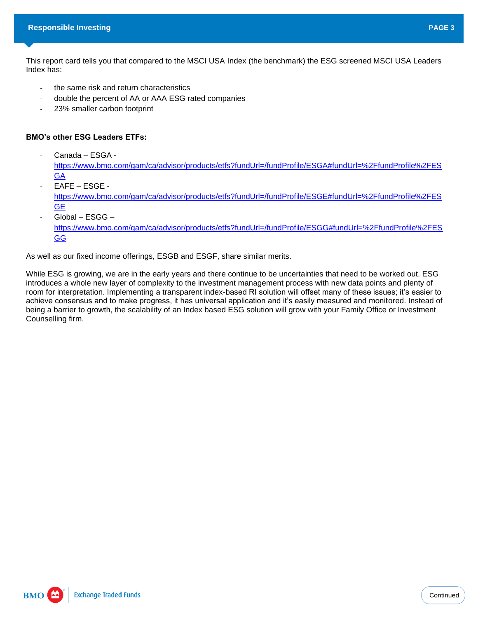This report card tells you that compared to the MSCI USA Index (the benchmark) the ESG screened MSCI USA Leaders Index has:

- the same risk and return characteristics
- double the percent of AA or AAA ESG rated companies
- 23% smaller carbon footprint

# **BMO's other ESG Leaders ETFs:**

- Canada – ESGA -

[https://www.bmo.com/gam/ca/advisor/products/etfs?fundUrl=/fundProfile/ESGA#fundUrl=%2FfundProfile%2FES](https://www.bmo.com/gam/ca/advisor/products/etfs?fundUrl=/fundProfile/ESGA#fundUrl=%2FfundProfile%2FESGA) **[GA](https://www.bmo.com/gam/ca/advisor/products/etfs?fundUrl=/fundProfile/ESGA#fundUrl=%2FfundProfile%2FESGA)** 

- EAFE ESGE [https://www.bmo.com/gam/ca/advisor/products/etfs?fundUrl=/fundProfile/ESGE#fundUrl=%2FfundProfile%2FES](https://www.bmo.com/gam/ca/advisor/products/etfs?fundUrl=/fundProfile/ESGE#fundUrl=%2FfundProfile%2FESGE) [GE](https://www.bmo.com/gam/ca/advisor/products/etfs?fundUrl=/fundProfile/ESGE#fundUrl=%2FfundProfile%2FESGE)
- Global ESGG [https://www.bmo.com/gam/ca/advisor/products/etfs?fundUrl=/fundProfile/ESGG#fundUrl=%2FfundProfile%2FES](https://www.bmo.com/gam/ca/advisor/products/etfs?fundUrl=/fundProfile/ESGG#fundUrl=%2FfundProfile%2FESGG) [GG](https://www.bmo.com/gam/ca/advisor/products/etfs?fundUrl=/fundProfile/ESGG#fundUrl=%2FfundProfile%2FESGG)

As well as our fixed income offerings, ESGB and ESGF, share similar merits.

While ESG is growing, we are in the early years and there continue to be uncertainties that need to be worked out. ESG introduces a whole new layer of complexity to the investment management process with new data points and plenty of room for interpretation. Implementing a transparent index-based RI solution will offset many of these issues; it's easier to achieve consensus and to make progress, it has universal application and it's easily measured and monitored. Instead of being a barrier to growth, the scalability of an Index based ESG solution will grow with your Family Office or Investment Counselling firm.